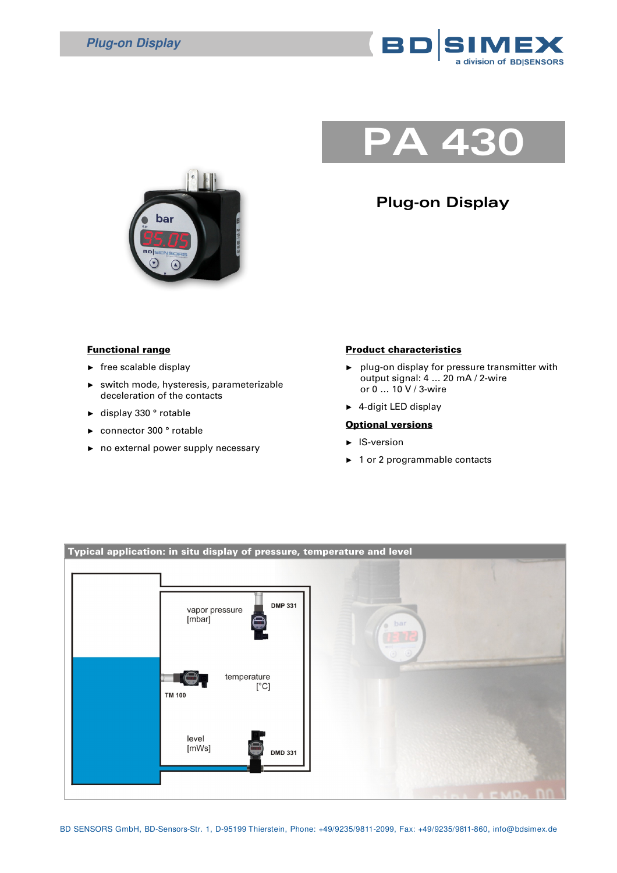

## **PA 430**





## Functional range

- $\blacktriangleright$  free scalable display
- ► switch mode, hysteresis, parameterizable deceleration of the contacts
- ► display 330 ° rotable
- connector 300 ° rotable
- ► no external power supply necessary

## Product characteristics

- ► plug-on display for pressure transmitter with output signal: 4 … 20 mA / 2-wire or 0 … 10 V / 3-wire
- ► 4-digit LED display

## **Optional versions**

- ► IS-version
- ► 1 or 2 programmable contacts